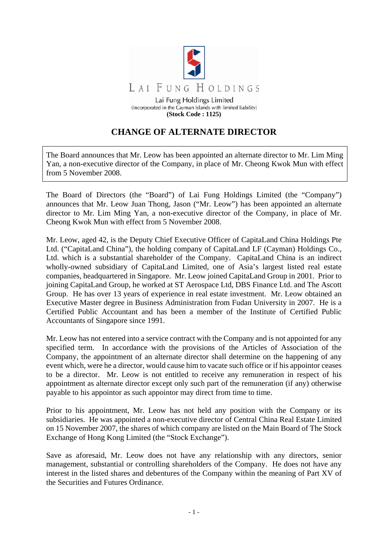

**(Stock Code : 1125)** 

## **CHANGE OF ALTERNATE DIRECTOR**

The Board announces that Mr. Leow has been appointed an alternate director to Mr. Lim Ming Yan, a non-executive director of the Company, in place of Mr. Cheong Kwok Mun with effect from 5 November 2008.

The Board of Directors (the "Board") of Lai Fung Holdings Limited (the "Company") announces that Mr. Leow Juan Thong, Jason ("Mr. Leow") has been appointed an alternate director to Mr. Lim Ming Yan, a non-executive director of the Company, in place of Mr. Cheong Kwok Mun with effect from 5 November 2008.

Mr. Leow, aged 42, is the Deputy Chief Executive Officer of CapitaLand China Holdings Pte Ltd. ("CapitaLand China"), the holding company of CapitaLand LF (Cayman) Holdings Co., Ltd. which is a substantial shareholder of the Company. CapitaLand China is an indirect wholly-owned subsidiary of CapitaLand Limited, one of Asia's largest listed real estate companies, headquartered in Singapore. Mr. Leow joined CapitaLand Group in 2001. Prior to joining CapitaLand Group, he worked at ST Aerospace Ltd, DBS Finance Ltd. and The Ascott Group. He has over 13 years of experience in real estate investment. Mr. Leow obtained an Executive Master degree in Business Administration from Fudan University in 2007. He is a Certified Public Accountant and has been a member of the Institute of Certified Public Accountants of Singapore since 1991.

Mr. Leow has not entered into a service contract with the Company and is not appointed for any specified term. In accordance with the provisions of the Articles of Association of the Company, the appointment of an alternate director shall determine on the happening of any event which, were he a director, would cause him to vacate such office or if his appointor ceases to be a director. Mr. Leow is not entitled to receive any remuneration in respect of his appointment as alternate director except only such part of the remuneration (if any) otherwise payable to his appointor as such appointor may direct from time to time.

Prior to his appointment, Mr. Leow has not held any position with the Company or its subsidiaries. He was appointed a non-executive director of Central China Real Estate Limited on 15 November 2007, the shares of which company are listed on the Main Board of The Stock Exchange of Hong Kong Limited (the "Stock Exchange").

Save as aforesaid, Mr. Leow does not have any relationship with any directors, senior management, substantial or controlling shareholders of the Company. He does not have any interest in the listed shares and debentures of the Company within the meaning of Part XV of the Securities and Futures Ordinance.